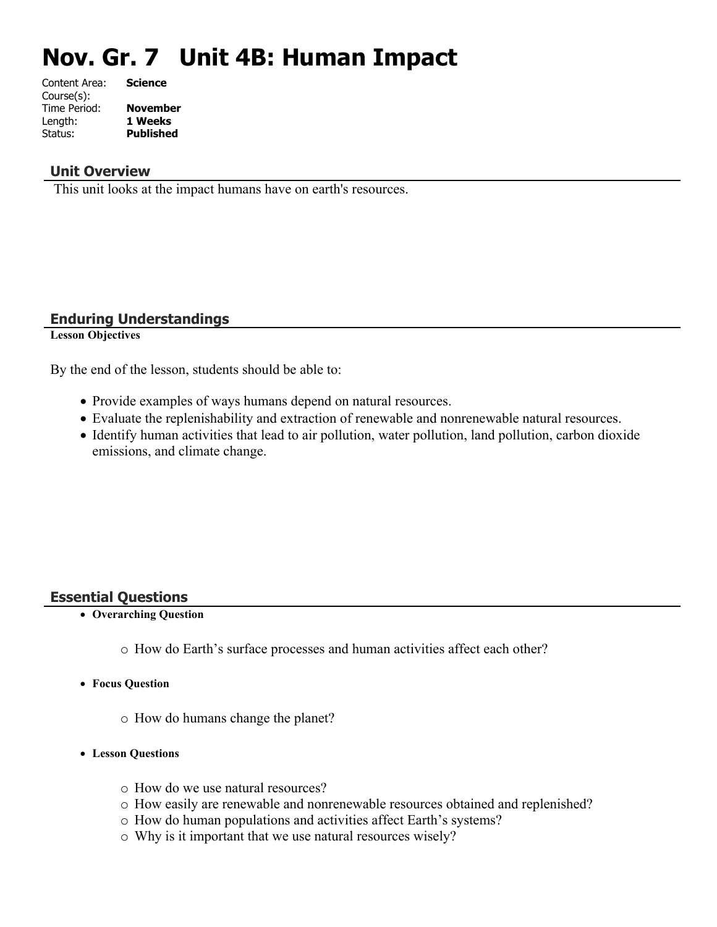# **Nov. Gr. 7 Unit 4B: Human Impact**

| Content Area: | <b>Science</b>   |
|---------------|------------------|
| Course(s):    |                  |
| Time Period:  | <b>November</b>  |
| Length:       | 1 Weeks          |
| Status:       | <b>Published</b> |
|               |                  |

# **Unit Overview**

This unit looks at the impact humans have on earth's resources.

# **Enduring Understandings**

**Lesson Objectives**

By the end of the lesson, students should be able to:

- Provide examples of ways humans depend on natural resources.
- Evaluate the replenishability and extraction of renewable and nonrenewable natural resources.
- Identify human activities that lead to air pollution, water pollution, land pollution, carbon dioxide emissions, and climate change.

# **Essential Questions**

- **Overarching Question**
	- o How do Earth's surface processes and human activities affect each other?
- **Focus Question**
	- o How do humans change the planet?
- **Lesson Questions**
	- o How do we use natural resources?
	- o How easily are renewable and nonrenewable resources obtained and replenished?
	- o How do human populations and activities affect Earth's systems?
	- o Why is it important that we use natural resources wisely?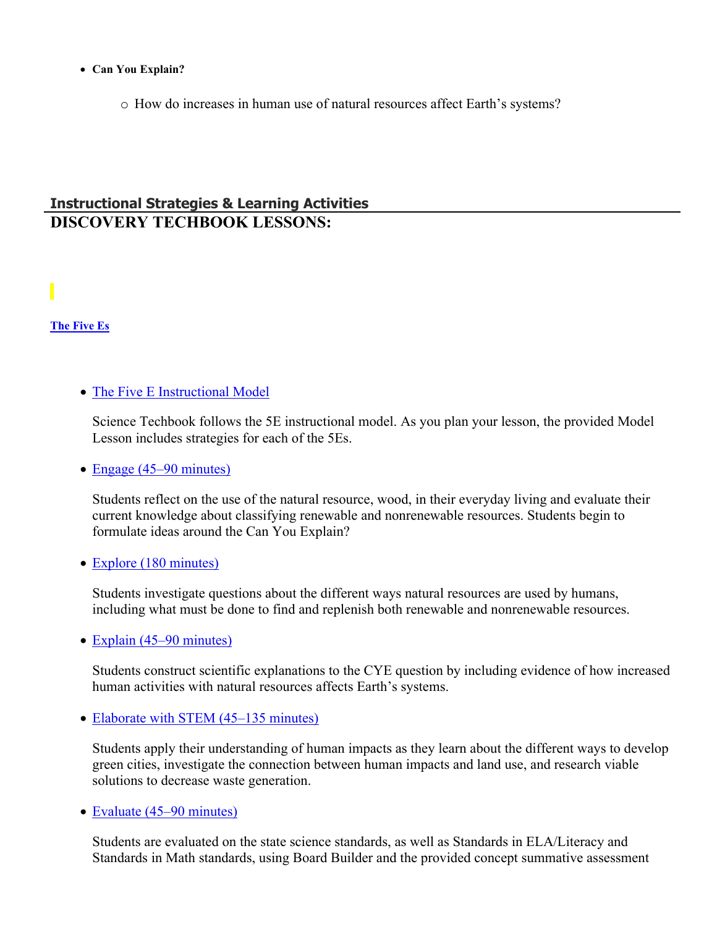- **Can You Explain?**
	- o How do increases in human use of natural resources affect Earth's systems?

# **Instructional Strategies & Learning Activities DISCOVERY TECHBOOK LESSONS:**

#### **[The Five Es](https://app.discoveryeducation.com/learn/techbook/units/e82b02d7-bf5b-4915-ac4e-15a18765a628/concepts/be37943c-40ca-411d-b424-6f1a6f53ce32/lesson/sections/c4ee5f5d-0558-4703-9d44-8bec3a7574b5)**

• [The Five E Instructional Model](https://app.discoveryeducation.com/learn/techbook/units/e82b02d7-bf5b-4915-ac4e-15a18765a628/concepts/be37943c-40ca-411d-b424-6f1a6f53ce32/lesson/sections/c4ee5f5d-0558-4703-9d44-8bec3a7574b5#e644dd16-4914-4990-86a7-b09159004d2f)

Science Techbook follows the 5E instructional model. As you plan your lesson, the provided Model Lesson includes strategies for each of the 5Es.

#### • [Engage \(45–90 minutes\)](https://app.discoveryeducation.com/learn/techbook/units/e82b02d7-bf5b-4915-ac4e-15a18765a628/concepts/be37943c-40ca-411d-b424-6f1a6f53ce32/lesson/sections/c4ee5f5d-0558-4703-9d44-8bec3a7574b5#df1aad47-1984-400b-a991-1b941c1fa00f)

Students reflect on the use of the natural resource, wood, in their everyday living and evaluate their current knowledge about classifying renewable and nonrenewable resources. Students begin to formulate ideas around the Can You Explain?

#### • [Explore \(180 minutes\)](https://app.discoveryeducation.com/learn/techbook/units/e82b02d7-bf5b-4915-ac4e-15a18765a628/concepts/be37943c-40ca-411d-b424-6f1a6f53ce32/lesson/sections/c4ee5f5d-0558-4703-9d44-8bec3a7574b5#9c1a76b6-6e4f-4f63-9a3d-af054b0e9b68)

Students investigate questions about the different ways natural resources are used by humans, including what must be done to find and replenish both renewable and nonrenewable resources.

• [Explain \(45–90 minutes\)](https://app.discoveryeducation.com/learn/techbook/units/e82b02d7-bf5b-4915-ac4e-15a18765a628/concepts/be37943c-40ca-411d-b424-6f1a6f53ce32/lesson/sections/c4ee5f5d-0558-4703-9d44-8bec3a7574b5#4f13a4da-3af1-4786-b36f-28ed5029a2b5)

Students construct scientific explanations to the CYE question by including evidence of how increased human activities with natural resources affects Earth's systems.

• [Elaborate with STEM \(45–135 minutes\)](https://app.discoveryeducation.com/learn/techbook/units/e82b02d7-bf5b-4915-ac4e-15a18765a628/concepts/be37943c-40ca-411d-b424-6f1a6f53ce32/lesson/sections/c4ee5f5d-0558-4703-9d44-8bec3a7574b5#2b66ee2c-30b8-48c5-93db-9e54e7a75e63)

Students apply their understanding of human impacts as they learn about the different ways to develop green cities, investigate the connection between human impacts and land use, and research viable solutions to decrease waste generation.

• [Evaluate \(45–90 minutes\)](https://app.discoveryeducation.com/learn/techbook/units/e82b02d7-bf5b-4915-ac4e-15a18765a628/concepts/be37943c-40ca-411d-b424-6f1a6f53ce32/lesson/sections/c4ee5f5d-0558-4703-9d44-8bec3a7574b5#7433c23f-4c7b-4a89-8c1d-f19a3cc9528d)

Students are evaluated on the state science standards, as well as Standards in ELA/Literacy and Standards in Math standards, using Board Builder and the provided concept summative assessment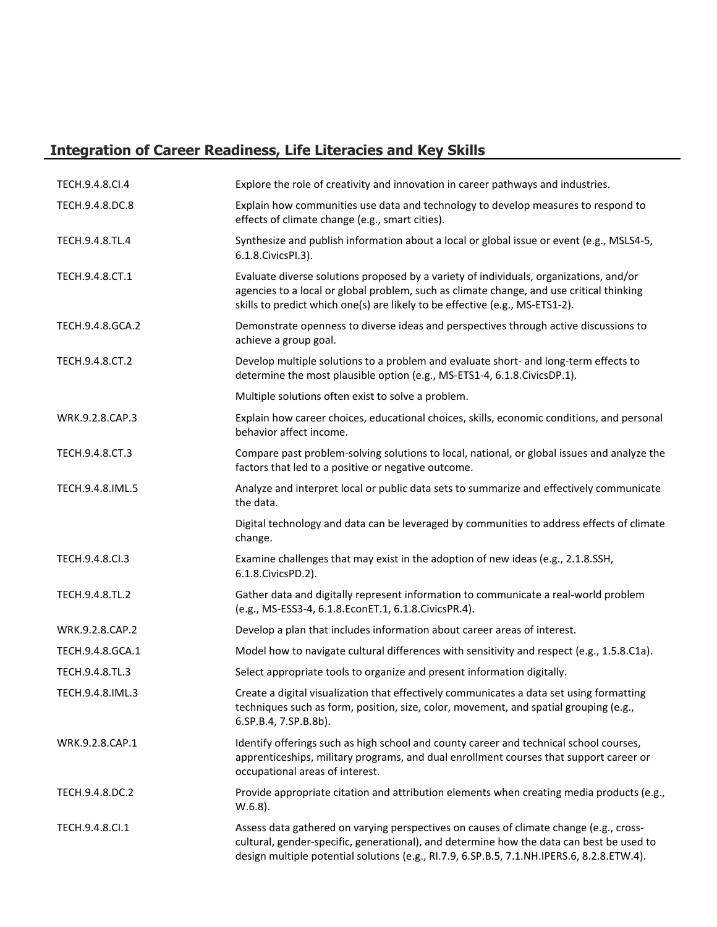# **Integration of Career Readiness, Life Literacies and Key Skills**

| TECH.9.4.8.Cl.4  | Explore the role of creativity and innovation in career pathways and industries.                                                                                                                                                                                                 |
|------------------|----------------------------------------------------------------------------------------------------------------------------------------------------------------------------------------------------------------------------------------------------------------------------------|
| TECH.9.4.8.DC.8  | Explain how communities use data and technology to develop measures to respond to<br>effects of climate change (e.g., smart cities).                                                                                                                                             |
| TECH.9.4.8.TL.4  | Synthesize and publish information about a local or global issue or event (e.g., MSLS4-5,<br>6.1.8. Civics PI.3).                                                                                                                                                                |
| TECH.9.4.8.CT.1  | Evaluate diverse solutions proposed by a variety of individuals, organizations, and/or<br>agencies to a local or global problem, such as climate change, and use critical thinking<br>skills to predict which one(s) are likely to be effective (e.g., MS-ETS1-2).               |
| TECH.9.4.8.GCA.2 | Demonstrate openness to diverse ideas and perspectives through active discussions to<br>achieve a group goal.                                                                                                                                                                    |
| TECH.9.4.8.CT.2  | Develop multiple solutions to a problem and evaluate short- and long-term effects to<br>determine the most plausible option (e.g., MS-ETS1-4, 6.1.8.CivicsDP.1).                                                                                                                 |
|                  | Multiple solutions often exist to solve a problem.                                                                                                                                                                                                                               |
| WRK.9.2.8.CAP.3  | Explain how career choices, educational choices, skills, economic conditions, and personal<br>behavior affect income.                                                                                                                                                            |
| TECH.9.4.8.CT.3  | Compare past problem-solving solutions to local, national, or global issues and analyze the<br>factors that led to a positive or negative outcome.                                                                                                                               |
| TECH.9.4.8.IML.5 | Analyze and interpret local or public data sets to summarize and effectively communicate<br>the data.                                                                                                                                                                            |
|                  | Digital technology and data can be leveraged by communities to address effects of climate<br>change.                                                                                                                                                                             |
| TECH.9.4.8.Cl.3  | Examine challenges that may exist in the adoption of new ideas (e.g., 2.1.8.SSH,<br>6.1.8. Civics PD. 2).                                                                                                                                                                        |
| TECH.9.4.8.TL.2  | Gather data and digitally represent information to communicate a real-world problem<br>(e.g., MS-ESS3-4, 6.1.8.EconET.1, 6.1.8.CivicsPR.4).                                                                                                                                      |
| WRK.9.2.8.CAP.2  | Develop a plan that includes information about career areas of interest.                                                                                                                                                                                                         |
| TECH.9.4.8.GCA.1 | Model how to navigate cultural differences with sensitivity and respect (e.g., 1.5.8.C1a).                                                                                                                                                                                       |
| TECH.9.4.8.TL.3  | Select appropriate tools to organize and present information digitally.                                                                                                                                                                                                          |
| TECH.9.4.8.IML.3 | Create a digital visualization that effectively communicates a data set using formatting<br>techniques such as form, position, size, color, movement, and spatial grouping (e.g.,<br>6.SP.B.4, 7.SP.B.8b).                                                                       |
| WRK.9.2.8.CAP.1  | Identify offerings such as high school and county career and technical school courses,<br>apprenticeships, military programs, and dual enrollment courses that support career or<br>occupational areas of interest.                                                              |
| TECH.9.4.8.DC.2  | Provide appropriate citation and attribution elements when creating media products (e.g.,<br>$W.6.8$ ).                                                                                                                                                                          |
| TECH.9.4.8.Cl.1  | Assess data gathered on varying perspectives on causes of climate change (e.g., cross-<br>cultural, gender-specific, generational), and determine how the data can best be used to<br>design multiple potential solutions (e.g., RI.7.9, 6.SP.B.5, 7.1.NH.IPERS.6, 8.2.8.ETW.4). |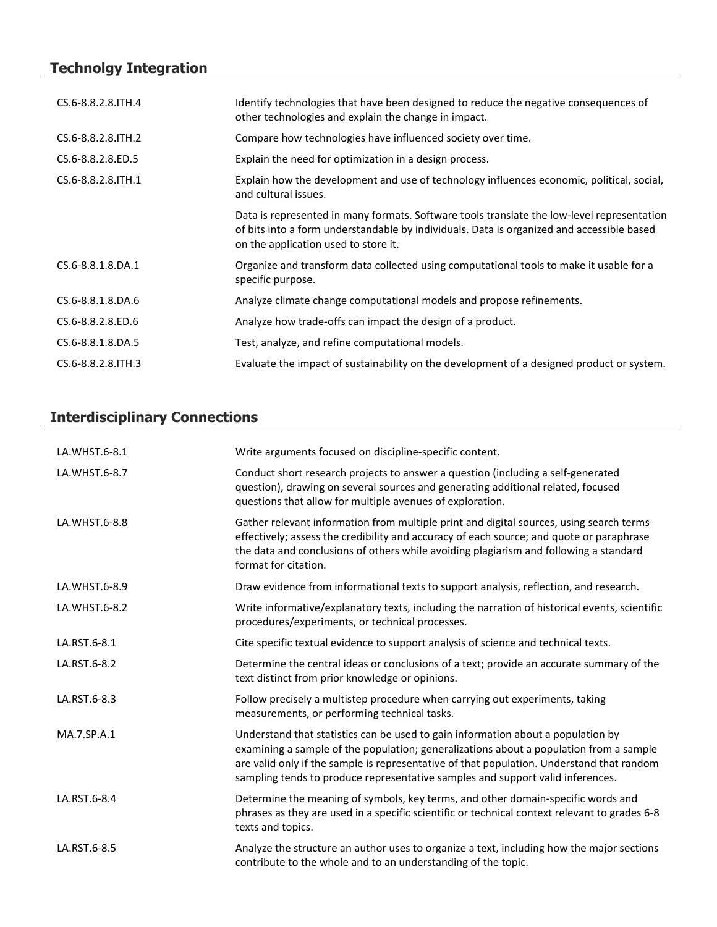# **Technolgy Integration**

| CS.6-8.8.2.8. ITH.4 | Identify technologies that have been designed to reduce the negative consequences of<br>other technologies and explain the change in impact.                                                                                    |
|---------------------|---------------------------------------------------------------------------------------------------------------------------------------------------------------------------------------------------------------------------------|
| CS.6-8.8.2.8. ITH.2 | Compare how technologies have influenced society over time.                                                                                                                                                                     |
| CS.6-8.8.2.8.ED.5   | Explain the need for optimization in a design process.                                                                                                                                                                          |
| CS.6-8.8.2.8. TH. 1 | Explain how the development and use of technology influences economic, political, social,<br>and cultural issues.                                                                                                               |
|                     | Data is represented in many formats. Software tools translate the low-level representation<br>of bits into a form understandable by individuals. Data is organized and accessible based<br>on the application used to store it. |
| CS.6-8.8.1.8.DA.1   | Organize and transform data collected using computational tools to make it usable for a<br>specific purpose.                                                                                                                    |
| CS.6-8.8.1.8.DA.6   | Analyze climate change computational models and propose refinements.                                                                                                                                                            |
| CS.6-8.8.2.8.ED.6   | Analyze how trade-offs can impact the design of a product.                                                                                                                                                                      |
| CS.6-8.8.1.8.DA.5   | Test, analyze, and refine computational models.                                                                                                                                                                                 |
| CS.6-8.8.2.8. ITH.3 | Evaluate the impact of sustainability on the development of a designed product or system.                                                                                                                                       |

# **Interdisciplinary Connections**

| LA.WHST.6-8.1 | Write arguments focused on discipline-specific content.                                                                                                                                                                                                                                                                                                   |
|---------------|-----------------------------------------------------------------------------------------------------------------------------------------------------------------------------------------------------------------------------------------------------------------------------------------------------------------------------------------------------------|
| LA.WHST.6-8.7 | Conduct short research projects to answer a question (including a self-generated<br>question), drawing on several sources and generating additional related, focused<br>questions that allow for multiple avenues of exploration.                                                                                                                         |
| LA.WHST.6-8.8 | Gather relevant information from multiple print and digital sources, using search terms<br>effectively; assess the credibility and accuracy of each source; and quote or paraphrase<br>the data and conclusions of others while avoiding plagiarism and following a standard<br>format for citation.                                                      |
| LA.WHST.6-8.9 | Draw evidence from informational texts to support analysis, reflection, and research.                                                                                                                                                                                                                                                                     |
| LA.WHST.6-8.2 | Write informative/explanatory texts, including the narration of historical events, scientific<br>procedures/experiments, or technical processes.                                                                                                                                                                                                          |
| LA.RST.6-8.1  | Cite specific textual evidence to support analysis of science and technical texts.                                                                                                                                                                                                                                                                        |
| LA.RST.6-8.2  | Determine the central ideas or conclusions of a text; provide an accurate summary of the<br>text distinct from prior knowledge or opinions.                                                                                                                                                                                                               |
| LA.RST.6-8.3  | Follow precisely a multistep procedure when carrying out experiments, taking<br>measurements, or performing technical tasks.                                                                                                                                                                                                                              |
| MA.7.SP.A.1   | Understand that statistics can be used to gain information about a population by<br>examining a sample of the population; generalizations about a population from a sample<br>are valid only if the sample is representative of that population. Understand that random<br>sampling tends to produce representative samples and support valid inferences. |
| LA.RST.6-8.4  | Determine the meaning of symbols, key terms, and other domain-specific words and<br>phrases as they are used in a specific scientific or technical context relevant to grades 6-8<br>texts and topics.                                                                                                                                                    |
| LA.RST.6-8.5  | Analyze the structure an author uses to organize a text, including how the major sections<br>contribute to the whole and to an understanding of the topic.                                                                                                                                                                                                |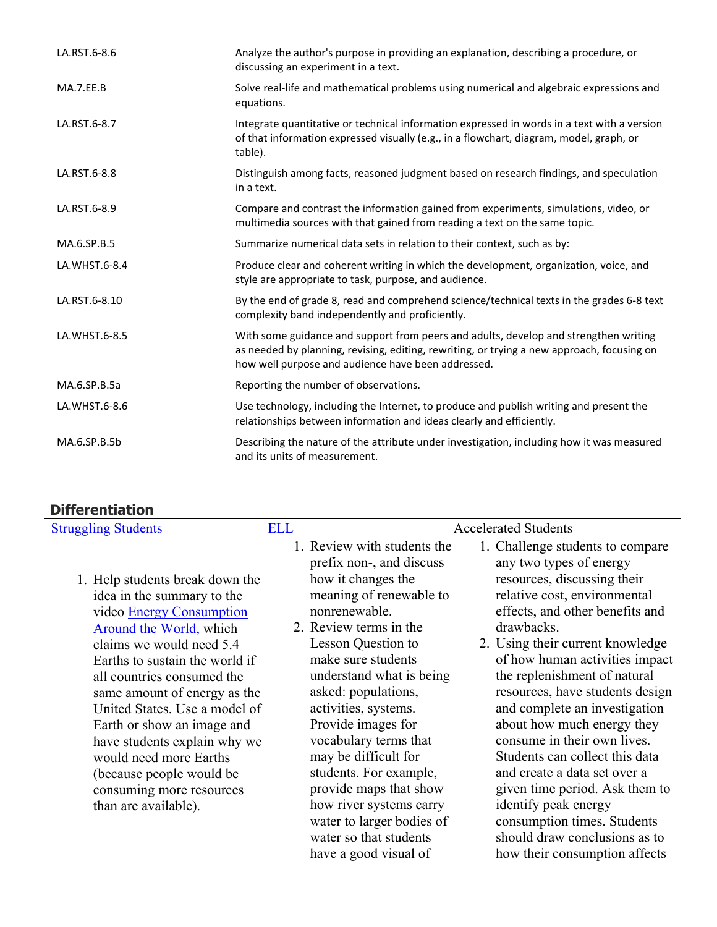| LA.RST.6-8.6  | Analyze the author's purpose in providing an explanation, describing a procedure, or<br>discussing an experiment in a text.                                                                                                              |
|---------------|------------------------------------------------------------------------------------------------------------------------------------------------------------------------------------------------------------------------------------------|
| MA.7.EE.B     | Solve real-life and mathematical problems using numerical and algebraic expressions and<br>equations.                                                                                                                                    |
| LA.RST.6-8.7  | Integrate quantitative or technical information expressed in words in a text with a version<br>of that information expressed visually (e.g., in a flowchart, diagram, model, graph, or<br>table).                                        |
| LA.RST.6-8.8  | Distinguish among facts, reasoned judgment based on research findings, and speculation<br>in a text.                                                                                                                                     |
| LA.RST.6-8.9  | Compare and contrast the information gained from experiments, simulations, video, or<br>multimedia sources with that gained from reading a text on the same topic.                                                                       |
| MA.6.SP.B.5   | Summarize numerical data sets in relation to their context, such as by:                                                                                                                                                                  |
| LA.WHST.6-8.4 | Produce clear and coherent writing in which the development, organization, voice, and<br>style are appropriate to task, purpose, and audience.                                                                                           |
| LA.RST.6-8.10 | By the end of grade 8, read and comprehend science/technical texts in the grades 6-8 text<br>complexity band independently and proficiently.                                                                                             |
| LA.WHST.6-8.5 | With some guidance and support from peers and adults, develop and strengthen writing<br>as needed by planning, revising, editing, rewriting, or trying a new approach, focusing on<br>how well purpose and audience have been addressed. |
| MA.6.SP.B.5a  | Reporting the number of observations.                                                                                                                                                                                                    |
| LA.WHST.6-8.6 | Use technology, including the Internet, to produce and publish writing and present the<br>relationships between information and ideas clearly and efficiently.                                                                           |
| MA.6.SP.B.5b  | Describing the nature of the attribute under investigation, including how it was measured<br>and its units of measurement.                                                                                                               |

# **Differentiation**

[Struggling Students](https://app.discoveryeducation.com/player/view/assetGuid/4995767F-D634-40C6-B25B-BDEA06E14F90) [ELL](https://app.discoveryeducation.com/player/view/assetGuid/D727DF69-B79B-4A92-AA1F-CE23C74D98D9%20) **ELL** Accelerated Students 1. Help students break down the idea in the summary to the 1. Review with students the prefix non-, and discuss how it changes the meaning of renewable to 1. Challenge students to compare any two types of energy resources, discussing their relative cost, environmental effects, and other benefits and

- video [Energy Consumption](https://app.discoveryeducation.com/player/view/assetGuid/8d07cd54-d03a-4293-bc70-d8be84ddca25)  [Around the World,](https://app.discoveryeducation.com/player/view/assetGuid/8d07cd54-d03a-4293-bc70-d8be84ddca25) which claims we would need 5.4 Earths to sustain the world if all countries consumed the same amount of energy as the United States. Use a model of Earth or show an image and have students explain why we would need more Earths (because people would be consuming more resources than are available).
- nonrenewable.
	- 2. Review terms in the Lesson Question to make sure students understand what is being asked: populations, activities, systems. Provide images for vocabulary terms that may be difficult for students. For example, provide maps that show how river systems carry water to larger bodies of water so that students have a good visual of

drawbacks. 2. Using their current knowledge of how human activities impact the replenishment of natural resources, have students design and complete an investigation about how much energy they consume in their own lives. Students can collect this data and create a data set over a given time period. Ask them to identify peak energy consumption times. Students

should draw conclusions as to how their consumption affects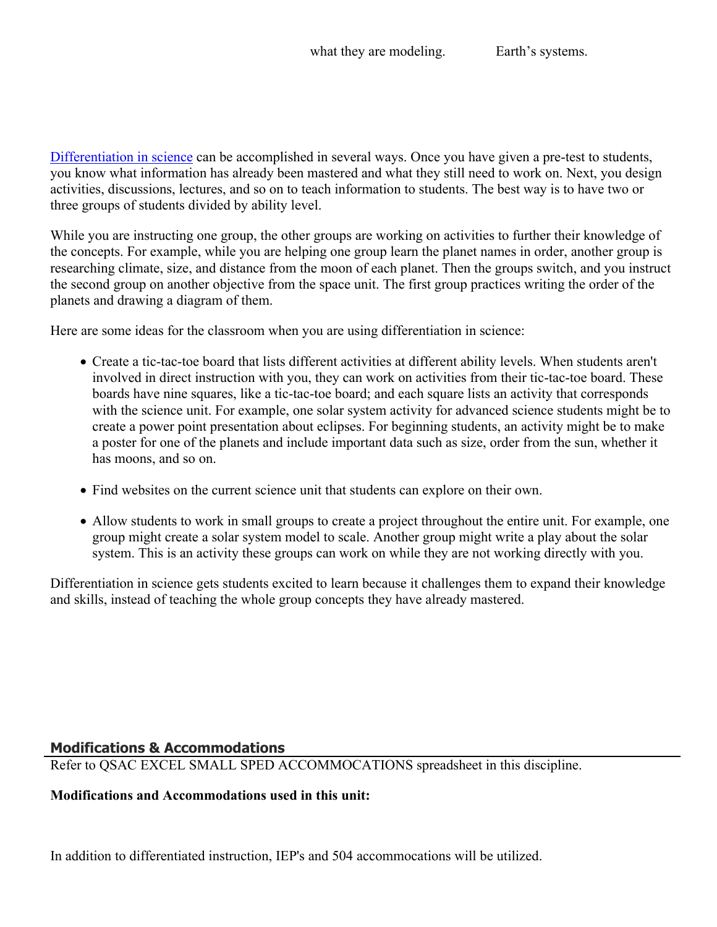[Differentiation in science](http://www.brighthubeducation.com/teaching-gifted-students/65181-differentiation-techniques-and-activities-in-the-classroom-for-gifted-students/) can be accomplished in several ways. Once you have given a pre-test to students, you know what information has already been mastered and what they still need to work on. Next, you design activities, discussions, lectures, and so on to teach information to students. The best way is to have two or three groups of students divided by ability level.

While you are instructing one group, the other groups are working on activities to further their knowledge of the concepts. For example, while you are helping one group learn the planet names in order, another group is researching climate, size, and distance from the moon of each planet. Then the groups switch, and you instruct the second group on another objective from the space unit. The first group practices writing the order of the planets and drawing a diagram of them.

Here are some ideas for the classroom when you are using differentiation in science:

- Create a tic-tac-toe board that lists different activities at different ability levels. When students aren't involved in direct instruction with you, they can work on activities from their tic-tac-toe board. These boards have nine squares, like a tic-tac-toe board; and each square lists an activity that corresponds with the science unit. For example, one solar system activity for advanced science students might be to create a power point presentation about eclipses. For beginning students, an activity might be to make a poster for one of the planets and include important data such as size, order from the sun, whether it has moons, and so on.
- Find websites on the current science unit that students can explore on their own.
- Allow students to work in small groups to create a project throughout the entire unit. For example, one group might create a solar system model to scale. Another group might write a play about the solar system. This is an activity these groups can work on while they are not working directly with you.

Differentiation in science gets students excited to learn because it challenges them to expand their knowledge and skills, instead of teaching the whole group concepts they have already mastered.

# **Modifications & Accommodations**

Refer to QSAC EXCEL SMALL SPED ACCOMMOCATIONS spreadsheet in this discipline.

# **Modifications and Accommodations used in this unit:**

In addition to differentiated instruction, IEP's and 504 accommocations will be utilized.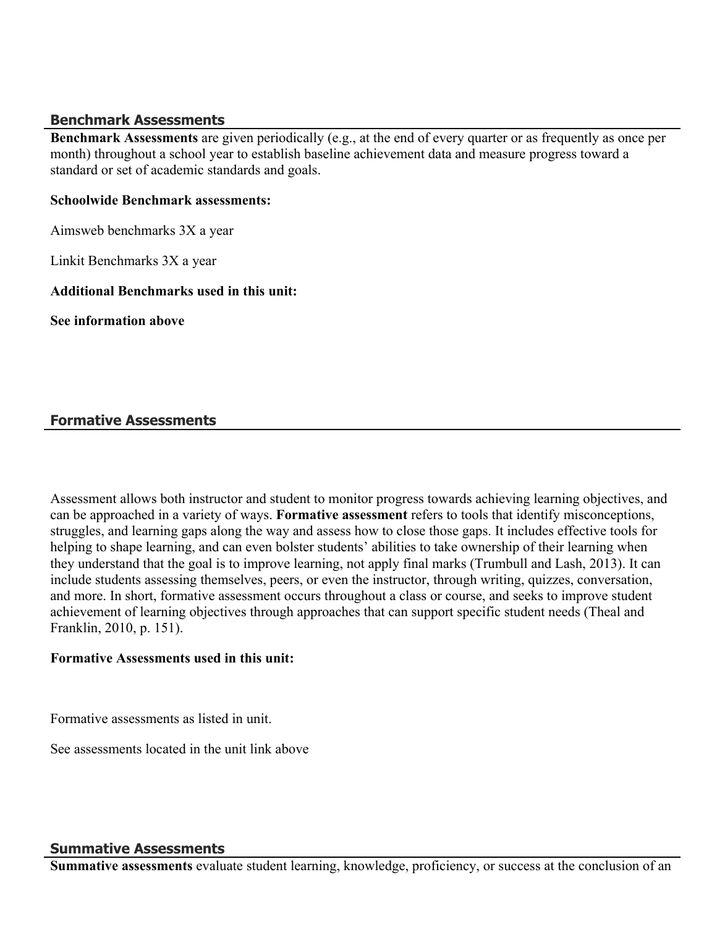# **Benchmark Assessments**

**Benchmark Assessments** are given periodically (e.g., at the end of every quarter or as frequently as once per month) throughout a school year to establish baseline achievement data and measure progress toward a standard or set of academic standards and goals.

#### **Schoolwide Benchmark assessments:**

Aimsweb benchmarks 3X a year

Linkit Benchmarks 3X a year

#### **Additional Benchmarks used in this unit:**

**See information above**

# **Formative Assessments**

Assessment allows both instructor and student to monitor progress towards achieving learning objectives, and can be approached in a variety of ways. **Formative assessment** refers to tools that identify misconceptions, struggles, and learning gaps along the way and assess how to close those gaps. It includes effective tools for helping to shape learning, and can even bolster students' abilities to take ownership of their learning when they understand that the goal is to improve learning, not apply final marks (Trumbull and Lash, 2013). It can include students assessing themselves, peers, or even the instructor, through writing, quizzes, conversation, and more. In short, formative assessment occurs throughout a class or course, and seeks to improve student achievement of learning objectives through approaches that can support specific student needs (Theal and Franklin, 2010, p. 151).

#### **Formative Assessments used in this unit:**

Formative assessments as listed in unit.

See assessments located in the unit link above

# **Summative Assessments**

**Summative assessments** evaluate student learning, knowledge, proficiency, or success at the conclusion of an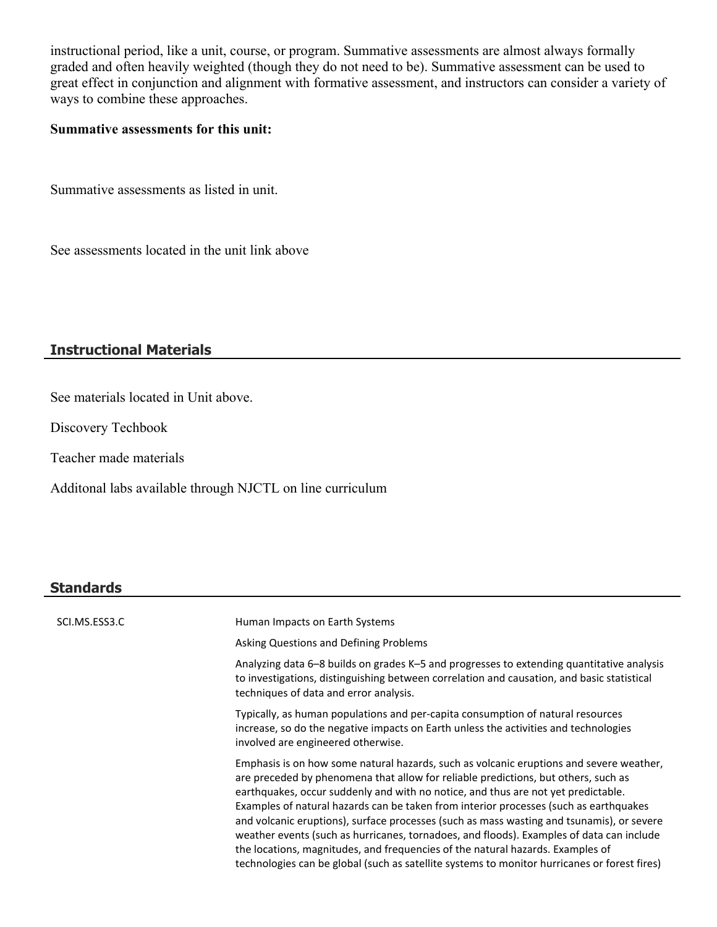instructional period, like a unit, course, or program. Summative assessments are almost always formally graded and often heavily weighted (though they do not need to be). Summative assessment can be used to great effect in conjunction and alignment with formative assessment, and instructors can consider a variety of ways to combine these approaches.

# **Summative assessments for this unit:**

Summative assessments as listed in unit.

See assessments located in the unit link above

# **Instructional Materials**

See materials located in Unit above.

Discovery Techbook

Teacher made materials

Additonal labs available through NJCTL on line curriculum

# **Standards**

| SCI.MS.ESS3.C | Human Impacts on Earth Systems                                                                                                                                                                                                                                                                                                                                                                                                                                                                                                                                                                                                                                                                                                          |
|---------------|-----------------------------------------------------------------------------------------------------------------------------------------------------------------------------------------------------------------------------------------------------------------------------------------------------------------------------------------------------------------------------------------------------------------------------------------------------------------------------------------------------------------------------------------------------------------------------------------------------------------------------------------------------------------------------------------------------------------------------------------|
|               | Asking Questions and Defining Problems                                                                                                                                                                                                                                                                                                                                                                                                                                                                                                                                                                                                                                                                                                  |
|               | Analyzing data 6–8 builds on grades K–5 and progresses to extending quantitative analysis<br>to investigations, distinguishing between correlation and causation, and basic statistical<br>techniques of data and error analysis.                                                                                                                                                                                                                                                                                                                                                                                                                                                                                                       |
|               | Typically, as human populations and per-capita consumption of natural resources<br>increase, so do the negative impacts on Earth unless the activities and technologies<br>involved are engineered otherwise.                                                                                                                                                                                                                                                                                                                                                                                                                                                                                                                           |
|               | Emphasis is on how some natural hazards, such as volcanic eruptions and severe weather,<br>are preceded by phenomena that allow for reliable predictions, but others, such as<br>earthquakes, occur suddenly and with no notice, and thus are not yet predictable.<br>Examples of natural hazards can be taken from interior processes (such as earthquakes<br>and volcanic eruptions), surface processes (such as mass wasting and tsunamis), or severe<br>weather events (such as hurricanes, tornadoes, and floods). Examples of data can include<br>the locations, magnitudes, and frequencies of the natural hazards. Examples of<br>(technologies can be global (such as satellite systems to monitor hurricanes or forest fires) |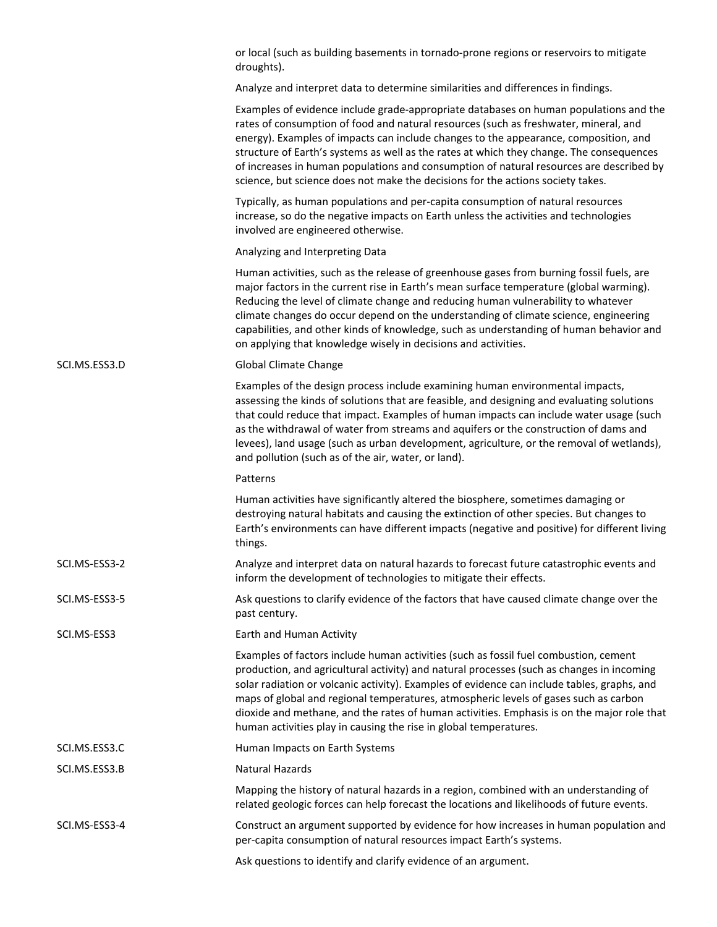|               | or local (such as building basements in tornado-prone regions or reservoirs to mitigate<br>droughts).                                                                                                                                                                                                                                                                                                                                                                                                                                           |
|---------------|-------------------------------------------------------------------------------------------------------------------------------------------------------------------------------------------------------------------------------------------------------------------------------------------------------------------------------------------------------------------------------------------------------------------------------------------------------------------------------------------------------------------------------------------------|
|               | Analyze and interpret data to determine similarities and differences in findings.                                                                                                                                                                                                                                                                                                                                                                                                                                                               |
|               | Examples of evidence include grade-appropriate databases on human populations and the<br>rates of consumption of food and natural resources (such as freshwater, mineral, and<br>energy). Examples of impacts can include changes to the appearance, composition, and<br>structure of Earth's systems as well as the rates at which they change. The consequences<br>of increases in human populations and consumption of natural resources are described by<br>science, but science does not make the decisions for the actions society takes. |
|               | Typically, as human populations and per-capita consumption of natural resources<br>increase, so do the negative impacts on Earth unless the activities and technologies<br>involved are engineered otherwise.                                                                                                                                                                                                                                                                                                                                   |
|               | Analyzing and Interpreting Data                                                                                                                                                                                                                                                                                                                                                                                                                                                                                                                 |
|               | Human activities, such as the release of greenhouse gases from burning fossil fuels, are<br>major factors in the current rise in Earth's mean surface temperature (global warming).<br>Reducing the level of climate change and reducing human vulnerability to whatever<br>climate changes do occur depend on the understanding of climate science, engineering<br>capabilities, and other kinds of knowledge, such as understanding of human behavior and<br>on applying that knowledge wisely in decisions and activities.                   |
| SCI.MS.ESS3.D | <b>Global Climate Change</b>                                                                                                                                                                                                                                                                                                                                                                                                                                                                                                                    |
|               | Examples of the design process include examining human environmental impacts,<br>assessing the kinds of solutions that are feasible, and designing and evaluating solutions<br>that could reduce that impact. Examples of human impacts can include water usage (such<br>as the withdrawal of water from streams and aquifers or the construction of dams and<br>levees), land usage (such as urban development, agriculture, or the removal of wetlands),<br>and pollution (such as of the air, water, or land).                               |
|               | Patterns                                                                                                                                                                                                                                                                                                                                                                                                                                                                                                                                        |
|               | Human activities have significantly altered the biosphere, sometimes damaging or<br>destroying natural habitats and causing the extinction of other species. But changes to<br>Earth's environments can have different impacts (negative and positive) for different living<br>things.                                                                                                                                                                                                                                                          |
| SCI.MS-ESS3-2 | Analyze and interpret data on natural hazards to forecast future catastrophic events and<br>inform the development of technologies to mitigate their effects.                                                                                                                                                                                                                                                                                                                                                                                   |
| SCI.MS-ESS3-5 | Ask questions to clarify evidence of the factors that have caused climate change over the<br>past century.                                                                                                                                                                                                                                                                                                                                                                                                                                      |
| SCI.MS-ESS3   | Earth and Human Activity                                                                                                                                                                                                                                                                                                                                                                                                                                                                                                                        |
|               | Examples of factors include human activities (such as fossil fuel combustion, cement<br>production, and agricultural activity) and natural processes (such as changes in incoming<br>solar radiation or volcanic activity). Examples of evidence can include tables, graphs, and<br>maps of global and regional temperatures, atmospheric levels of gases such as carbon<br>dioxide and methane, and the rates of human activities. Emphasis is on the major role that<br>human activities play in causing the rise in global temperatures.     |
| SCI.MS.ESS3.C | Human Impacts on Earth Systems                                                                                                                                                                                                                                                                                                                                                                                                                                                                                                                  |
| SCI.MS.ESS3.B | <b>Natural Hazards</b>                                                                                                                                                                                                                                                                                                                                                                                                                                                                                                                          |
|               | Mapping the history of natural hazards in a region, combined with an understanding of<br>related geologic forces can help forecast the locations and likelihoods of future events.                                                                                                                                                                                                                                                                                                                                                              |
| SCI.MS-ESS3-4 | Construct an argument supported by evidence for how increases in human population and<br>per-capita consumption of natural resources impact Earth's systems.                                                                                                                                                                                                                                                                                                                                                                                    |
|               | Ask questions to identify and clarify evidence of an argument.                                                                                                                                                                                                                                                                                                                                                                                                                                                                                  |